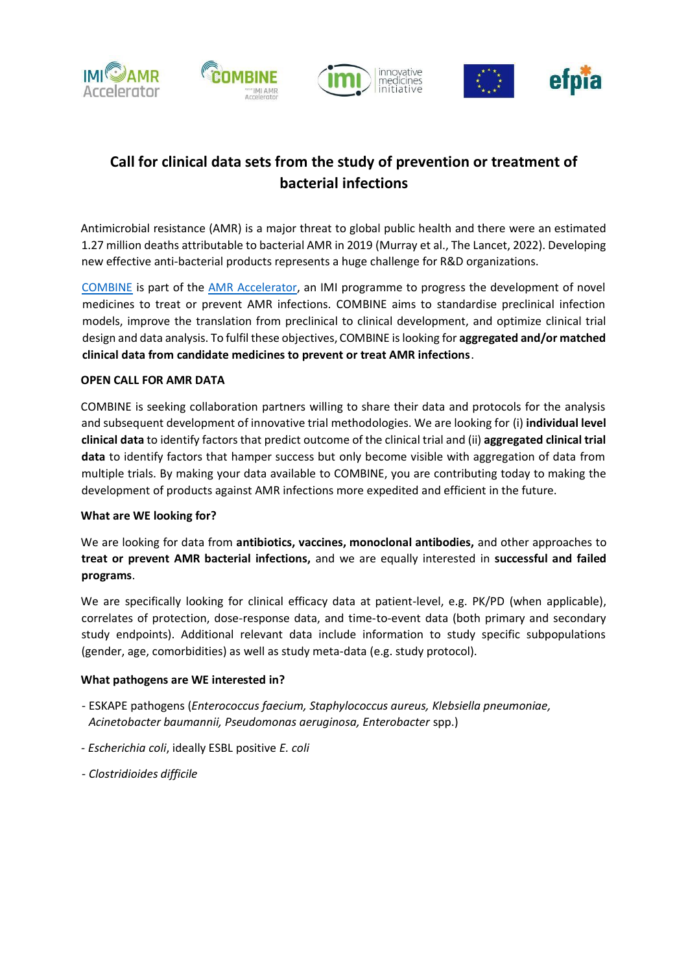



# **Call for clinical data sets from the study of prevention or treatment of bacterial infections**

Antimicrobial resistance (AMR) is a major threat to global public health and there were an estimated 1.27 million deaths attributable to bacterial AMR in 2019 (Murray et al., The Lancet, 2022). Developing new effective anti-bacterial products represents a huge challenge for R&D organizations.

[COMBINE](https://amr-accelerator.eu/project/combine/) is part of the [AMR Accelerator,](https://amr-accelerator.eu/) an IMI programme to progress the development of novel medicines to treat or prevent AMR infections. COMBINE aims to standardise preclinical infection models, improve the translation from preclinical to clinical development, and optimize clinical trial design and data analysis. To fulfil these objectives, COMBINE is looking for **aggregated and/or matched clinical data from candidate medicines to prevent or treat AMR infections**.

## **OPEN CALL FOR AMR DATA**

COMBINE is seeking collaboration partners willing to share their data and protocols for the analysis and subsequent development of innovative trial methodologies. We are looking for (i) **individual level clinical data** to identify factors that predict outcome of the clinical trial and (ii) **aggregated clinical trial data** to identify factors that hamper success but only become visible with aggregation of data from multiple trials. By making your data available to COMBINE, you are contributing today to making the development of products against AMR infections more expedited and efficient in the future.

## **What are WE looking for?**

We are looking for data from **antibiotics, vaccines, monoclonal antibodies,** and other approaches to **treat or prevent AMR bacterial infections,** and we are equally interested in **successful and failed programs**.

We are specifically looking for clinical efficacy data at patient-level, e.g. PK/PD (when applicable), correlates of protection, dose-response data, and time-to-event data (both primary and secondary study endpoints). Additional relevant data include information to study specific subpopulations (gender, age, comorbidities) as well as study meta-data (e.g. study protocol).

## **What pathogens are WE interested in?**

- ESKAPE pathogens (*Enterococcus faecium, Staphylococcus aureus, Klebsiella pneumoniae, Acinetobacter baumannii, Pseudomonas aeruginosa, Enterobacter* spp.)
- *- Escherichia coli*, ideally ESBL positive *E. coli*
- *Clostridioides difficile*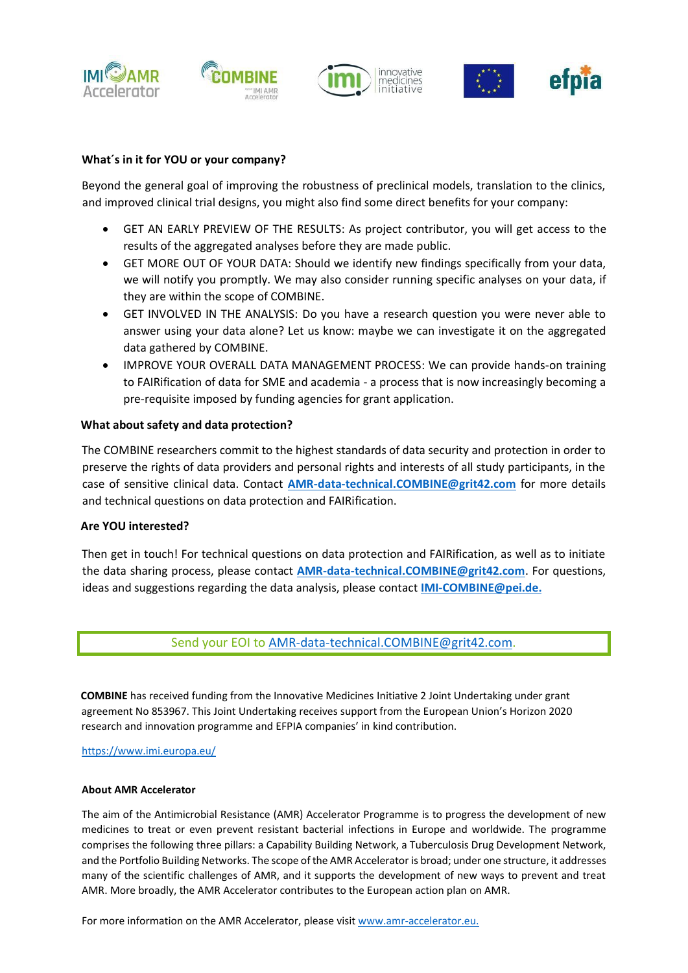



## **What´s in it for YOU or your company?**

Beyond the general goal of improving the robustness of preclinical models, translation to the clinics, and improved clinical trial designs, you might also find some direct benefits for your company:

- GET AN EARLY PREVIEW OF THE RESULTS: As project contributor, you will get access to the results of the aggregated analyses before they are made public.
- GET MORE OUT OF YOUR DATA: Should we identify new findings specifically from your data, we will notify you promptly. We may also consider running specific analyses on your data, if they are within the scope of COMBINE.
- GET INVOLVED IN THE ANALYSIS: Do you have a research question you were never able to answer using your data alone? Let us know: maybe we can investigate it on the aggregated data gathered by COMBINE.
- IMPROVE YOUR OVERALL DATA MANAGEMENT PROCESS: We can provide hands-on training to FAIRification of data for SME and academia - a process that is now increasingly becoming a pre-requisite imposed by funding agencies for grant application.

#### **What about safety and data protection?**

The COMBINE researchers commit to the highest standards of data security and protection in order to preserve the rights of data providers and personal rights and interests of all study participants, in the case of sensitive clinical data. Contact **[AMR-data-technical.COMBINE@grit42.com](mailto:AMR-data-technical.COMBINE@grit42.com)** for more details and technical questions on data protection and FAIRification.

#### **Are YOU interested?**

Then get in touch! For technical questions on data protection and FAIRification, as well as to initiate the data sharing process, please contact **[AMR-data-technical.COMBINE@grit42.com](mailto:AMR-data-technical.COMBINE@grit42.com)**. For questions, ideas and suggestions regarding the data analysis, please contact **[IMI-COMBINE@pei.de.](mailto:IMI-COMBINE@pei.de)**

## Send your EOI to AMR-data-technical.COMBINE@grit42.com.

**COMBINE** has received funding from the Innovative Medicines Initiative 2 Joint Undertaking under grant agreement No 853967. This Joint Undertaking receives support from the European Union's Horizon 2020 research and innovation programme and EFPIA companies' in kind contribution.

<https://www.imi.europa.eu/>

#### **About AMR Accelerator**

The aim of the Antimicrobial Resistance (AMR) Accelerator Programme is to progress the development of new medicines to treat or even prevent resistant bacterial infections in Europe and worldwide. The programme comprises the following three pillars: a Capability Building Network, a Tuberculosis Drug Development Network, and the Portfolio Building Networks. The scope of the AMR Accelerator is broad; under one structure, it addresses many of the scientific challenges of AMR, and it supports the development of new ways to prevent and treat AMR. More broadly, the AMR Accelerator contributes to the European action plan on AMR.

For more information on the AMR Accelerator, please visit [www.amr-accelerator.eu.](https://amr-accelerator.eu/)